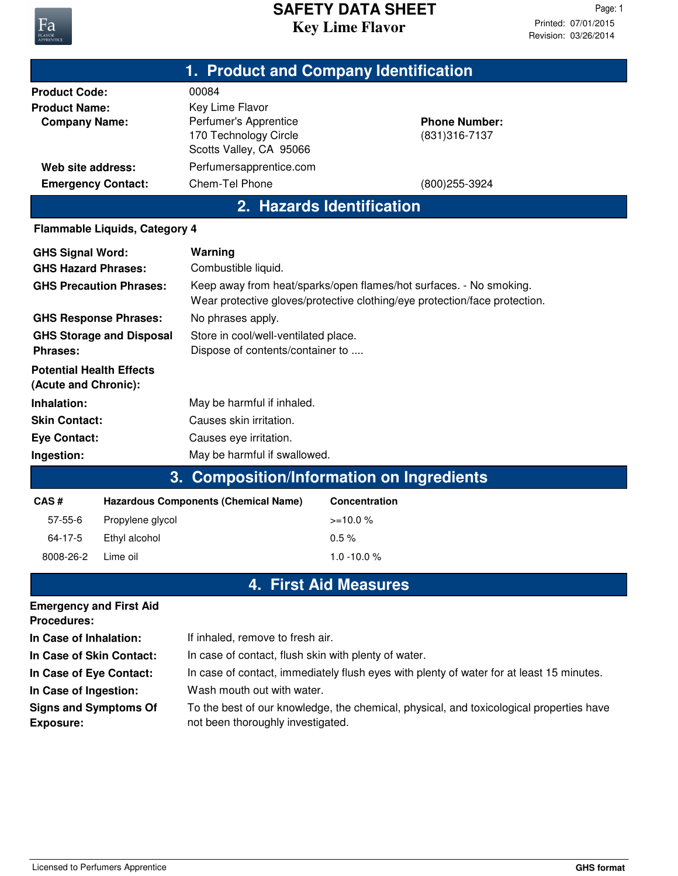

## **Key Lime Flavor SAFETY DATA SHEET**

|                                                                                                                        |                                                                                                                                                    | 1. Product and Company Identification                    |  |  |
|------------------------------------------------------------------------------------------------------------------------|----------------------------------------------------------------------------------------------------------------------------------------------------|----------------------------------------------------------|--|--|
| <b>Product Code:</b><br><b>Product Name:</b><br><b>Company Name:</b><br>Web site address:<br><b>Emergency Contact:</b> | 00084<br>Key Lime Flavor<br>Perfumer's Apprentice<br>170 Technology Circle<br>Scotts Valley, CA 95066<br>Perfumersapprentice.com<br>Chem-Tel Phone | <b>Phone Number:</b><br>(831) 316-7137<br>(800) 255-3924 |  |  |
|                                                                                                                        |                                                                                                                                                    | 2. Hazards Identification                                |  |  |
|                                                                                                                        |                                                                                                                                                    |                                                          |  |  |
| <b>Flammable Liquids, Category 4</b>                                                                                   |                                                                                                                                                    |                                                          |  |  |
| <b>GHS Signal Word:</b>                                                                                                | Warning                                                                                                                                            |                                                          |  |  |
| <b>GHS Hazard Phrases:</b>                                                                                             | Combustible liquid.                                                                                                                                |                                                          |  |  |
| <b>GHS Precaution Phrases:</b>                                                                                         | Keep away from heat/sparks/open flames/hot surfaces. - No smoking.<br>Wear protective gloves/protective clothing/eye protection/face protection.   |                                                          |  |  |
| <b>GHS Response Phrases:</b><br>No phrases apply.                                                                      |                                                                                                                                                    |                                                          |  |  |
| <b>GHS Storage and Disposal</b><br><b>Phrases:</b>                                                                     | Store in cool/well-ventilated place.<br>Dispose of contents/container to                                                                           |                                                          |  |  |
| <b>Potential Health Effects</b><br>(Acute and Chronic):                                                                |                                                                                                                                                    |                                                          |  |  |
| Inhalation:                                                                                                            | May be harmful if inhaled.                                                                                                                         |                                                          |  |  |
| <b>Skin Contact:</b>                                                                                                   | Causes skin irritation.                                                                                                                            |                                                          |  |  |
| <b>Eye Contact:</b>                                                                                                    | Causes eye irritation.                                                                                                                             |                                                          |  |  |
| Ingestion:                                                                                                             | May be harmful if swallowed.                                                                                                                       |                                                          |  |  |
| <b>Composition/Information on Ingredients</b><br>3.                                                                    |                                                                                                                                                    |                                                          |  |  |
| CAS#                                                                                                                   | <b>Hazardous Components (Chemical Name)</b>                                                                                                        | <b>Concentration</b>                                     |  |  |
| 57-55-6<br>Propylene glycol                                                                                            |                                                                                                                                                    | $>=10.0%$                                                |  |  |
| 64-17-5<br>Ethyl alcohol                                                                                               |                                                                                                                                                    | 0.5%                                                     |  |  |
| 8008-26-2<br>Lime oil                                                                                                  |                                                                                                                                                    | $1.0 - 10.0 %$                                           |  |  |

## **4. First Aid Measures**

| <b>Emergency and First Aid</b><br><b>Procedures:</b> |                                                                                                                              |
|------------------------------------------------------|------------------------------------------------------------------------------------------------------------------------------|
| In Case of Inhalation:                               | If inhaled, remove to fresh air.                                                                                             |
| In Case of Skin Contact:                             | In case of contact, flush skin with plenty of water.                                                                         |
| In Case of Eye Contact:                              | In case of contact, immediately flush eyes with plenty of water for at least 15 minutes.                                     |
| In Case of Ingestion:                                | Wash mouth out with water.                                                                                                   |
| <b>Signs and Symptoms Of</b><br><b>Exposure:</b>     | To the best of our knowledge, the chemical, physical, and toxicological properties have<br>not been thoroughly investigated. |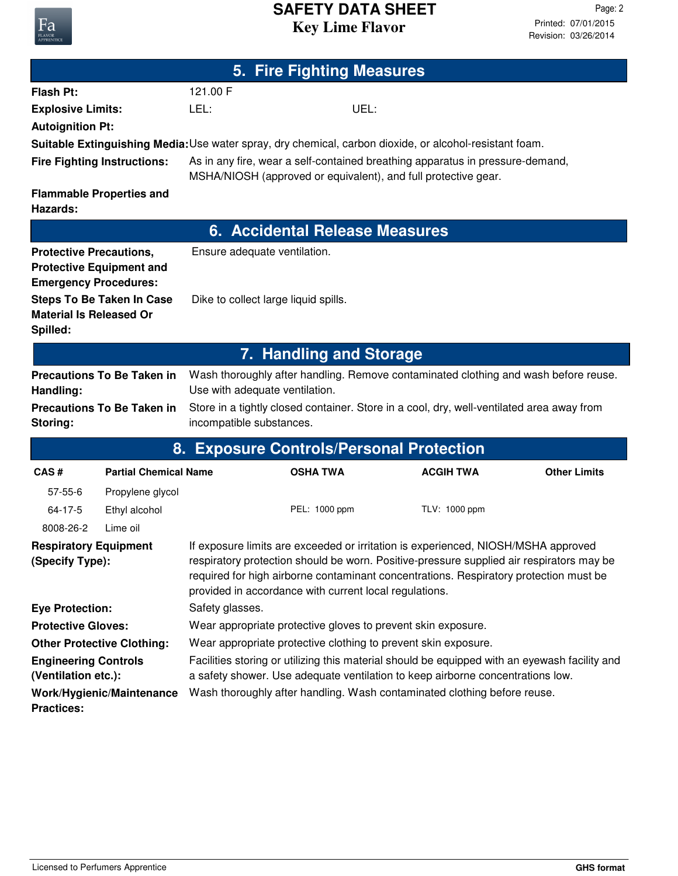## **Key Lime Flavor SAFETY DATA SHEET**

| 5. Fire Fighting Measures                                      |                                                                                                                                                            |                                                                                                                                                                                                                                                                                                                                  |                         |                                                                                                         |                     |  |
|----------------------------------------------------------------|------------------------------------------------------------------------------------------------------------------------------------------------------------|----------------------------------------------------------------------------------------------------------------------------------------------------------------------------------------------------------------------------------------------------------------------------------------------------------------------------------|-------------------------|---------------------------------------------------------------------------------------------------------|---------------------|--|
| <b>Flash Pt:</b>                                               |                                                                                                                                                            | 121.00 F                                                                                                                                                                                                                                                                                                                         |                         |                                                                                                         |                     |  |
| <b>Explosive Limits:</b>                                       |                                                                                                                                                            | LEL:                                                                                                                                                                                                                                                                                                                             | UEL:                    |                                                                                                         |                     |  |
| <b>Autoignition Pt:</b>                                        |                                                                                                                                                            |                                                                                                                                                                                                                                                                                                                                  |                         |                                                                                                         |                     |  |
|                                                                |                                                                                                                                                            |                                                                                                                                                                                                                                                                                                                                  |                         | Suitable Extinguishing Media: Use water spray, dry chemical, carbon dioxide, or alcohol-resistant foam. |                     |  |
|                                                                | <b>Fire Fighting Instructions:</b>                                                                                                                         | As in any fire, wear a self-contained breathing apparatus in pressure-demand,<br>MSHA/NIOSH (approved or equivalent), and full protective gear.                                                                                                                                                                                  |                         |                                                                                                         |                     |  |
| Hazards:                                                       | <b>Flammable Properties and</b>                                                                                                                            |                                                                                                                                                                                                                                                                                                                                  |                         |                                                                                                         |                     |  |
|                                                                | 6. Accidental Release Measures                                                                                                                             |                                                                                                                                                                                                                                                                                                                                  |                         |                                                                                                         |                     |  |
| <b>Protective Precautions,</b><br><b>Emergency Procedures:</b> | <b>Protective Equipment and</b>                                                                                                                            | Ensure adequate ventilation.                                                                                                                                                                                                                                                                                                     |                         |                                                                                                         |                     |  |
| <b>Material Is Released Or</b><br>Spilled:                     | <b>Steps To Be Taken In Case</b>                                                                                                                           | Dike to collect large liquid spills.                                                                                                                                                                                                                                                                                             |                         |                                                                                                         |                     |  |
|                                                                |                                                                                                                                                            |                                                                                                                                                                                                                                                                                                                                  | 7. Handling and Storage |                                                                                                         |                     |  |
|                                                                | <b>Precautions To Be Taken in</b>                                                                                                                          |                                                                                                                                                                                                                                                                                                                                  |                         | Wash thoroughly after handling. Remove contaminated clothing and wash before reuse.                     |                     |  |
| Handling:                                                      |                                                                                                                                                            | Use with adequate ventilation.                                                                                                                                                                                                                                                                                                   |                         |                                                                                                         |                     |  |
| Storing:                                                       | <b>Precautions To Be Taken in</b><br>Store in a tightly closed container. Store in a cool, dry, well-ventilated area away from<br>incompatible substances. |                                                                                                                                                                                                                                                                                                                                  |                         |                                                                                                         |                     |  |
|                                                                |                                                                                                                                                            |                                                                                                                                                                                                                                                                                                                                  |                         | 8. Exposure Controls/Personal Protection                                                                |                     |  |
| CAS#                                                           | <b>Partial Chemical Name</b>                                                                                                                               |                                                                                                                                                                                                                                                                                                                                  | <b>OSHA TWA</b>         | <b>ACGIH TWA</b>                                                                                        | <b>Other Limits</b> |  |
| $57 - 55 - 6$                                                  | Propylene glycol                                                                                                                                           |                                                                                                                                                                                                                                                                                                                                  |                         |                                                                                                         |                     |  |
| 64-17-5                                                        | Ethyl alcohol                                                                                                                                              |                                                                                                                                                                                                                                                                                                                                  | PEL: 1000 ppm           | TLV: 1000 ppm                                                                                           |                     |  |
| 8008-26-2                                                      | Lime oil                                                                                                                                                   |                                                                                                                                                                                                                                                                                                                                  |                         |                                                                                                         |                     |  |
| <b>Respiratory Equipment</b><br>(Specify Type):                |                                                                                                                                                            | If exposure limits are exceeded or irritation is experienced, NIOSH/MSHA approved<br>respiratory protection should be worn. Positive-pressure supplied air respirators may be<br>required for high airborne contaminant concentrations. Respiratory protection must be<br>provided in accordance with current local regulations. |                         |                                                                                                         |                     |  |
| <b>Eye Protection:</b>                                         | Safety glasses.                                                                                                                                            |                                                                                                                                                                                                                                                                                                                                  |                         |                                                                                                         |                     |  |
|                                                                | <b>Protective Gloves:</b><br>Wear appropriate protective gloves to prevent skin exposure.                                                                  |                                                                                                                                                                                                                                                                                                                                  |                         |                                                                                                         |                     |  |
|                                                                | <b>Other Protective Clothing:</b>                                                                                                                          | Wear appropriate protective clothing to prevent skin exposure.                                                                                                                                                                                                                                                                   |                         |                                                                                                         |                     |  |
|                                                                | Facilities storing or utilizing this material should be equipped with an eyewash facility and<br><b>Engineering Controls</b>                               |                                                                                                                                                                                                                                                                                                                                  |                         |                                                                                                         |                     |  |
| (Ventilation etc.):                                            | Work/Hygienic/Maintenance                                                                                                                                  | a safety shower. Use adequate ventilation to keep airborne concentrations low.<br>Wash thoroughly after handling. Wash contaminated clothing before reuse.                                                                                                                                                                       |                         |                                                                                                         |                     |  |
| <b>Practices:</b>                                              |                                                                                                                                                            |                                                                                                                                                                                                                                                                                                                                  |                         |                                                                                                         |                     |  |

Fa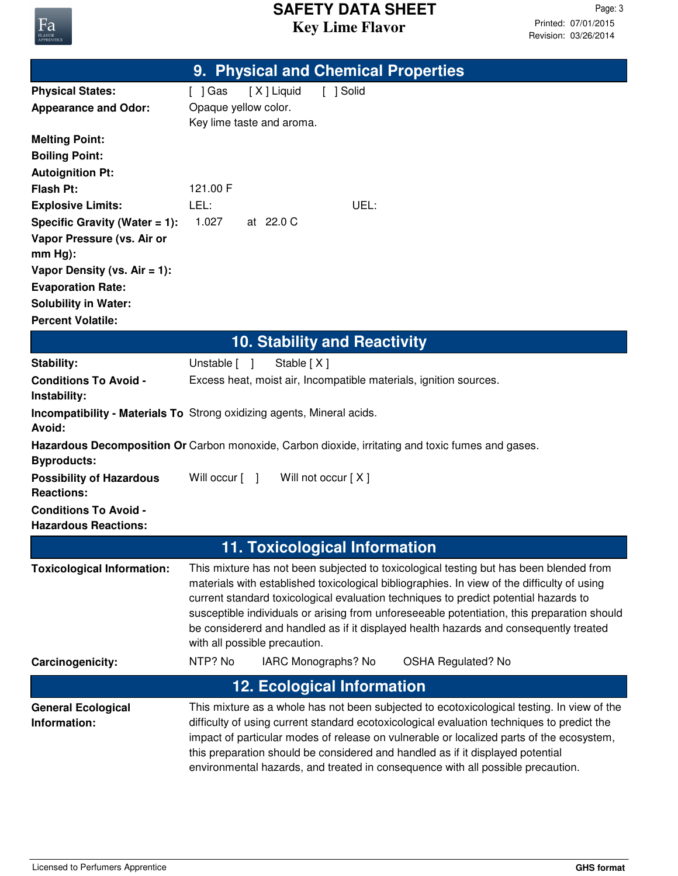

|                                                                | 9. Physical and Chemical Properties                                                                                                                                                 |  |  |
|----------------------------------------------------------------|-------------------------------------------------------------------------------------------------------------------------------------------------------------------------------------|--|--|
| <b>Physical States:</b>                                        | [X] Liquid<br>[ ] Solid<br>$[$ ] Gas                                                                                                                                                |  |  |
| <b>Appearance and Odor:</b>                                    | Opaque yellow color.                                                                                                                                                                |  |  |
|                                                                | Key lime taste and aroma.                                                                                                                                                           |  |  |
| <b>Melting Point:</b>                                          |                                                                                                                                                                                     |  |  |
| <b>Boiling Point:</b>                                          |                                                                                                                                                                                     |  |  |
| <b>Autoignition Pt:</b>                                        |                                                                                                                                                                                     |  |  |
| <b>Flash Pt:</b>                                               | 121.00 F                                                                                                                                                                            |  |  |
| <b>Explosive Limits:</b>                                       | LEL:<br>UEL:<br>1.027<br>at 22.0 C                                                                                                                                                  |  |  |
| Specific Gravity (Water $= 1$ ):<br>Vapor Pressure (vs. Air or |                                                                                                                                                                                     |  |  |
| $mm Hg$ :                                                      |                                                                                                                                                                                     |  |  |
| Vapor Density (vs. $Air = 1$ ):                                |                                                                                                                                                                                     |  |  |
| <b>Evaporation Rate:</b>                                       |                                                                                                                                                                                     |  |  |
| <b>Solubility in Water:</b>                                    |                                                                                                                                                                                     |  |  |
| <b>Percent Volatile:</b>                                       |                                                                                                                                                                                     |  |  |
|                                                                | <b>10. Stability and Reactivity</b>                                                                                                                                                 |  |  |
| <b>Stability:</b>                                              | Unstable [ ]<br>Stable [X]                                                                                                                                                          |  |  |
| <b>Conditions To Avoid -</b>                                   | Excess heat, moist air, Incompatible materials, ignition sources.                                                                                                                   |  |  |
| Instability:                                                   |                                                                                                                                                                                     |  |  |
|                                                                | <b>Incompatibility - Materials To</b> Strong oxidizing agents, Mineral acids.                                                                                                       |  |  |
| Avoid:                                                         |                                                                                                                                                                                     |  |  |
| <b>Byproducts:</b>                                             | Hazardous Decomposition Or Carbon monoxide, Carbon dioxide, irritating and toxic fumes and gases.                                                                                   |  |  |
| <b>Possibility of Hazardous</b>                                | Will occur [ ]<br>Will not occur [X]                                                                                                                                                |  |  |
| <b>Reactions:</b>                                              |                                                                                                                                                                                     |  |  |
| <b>Conditions To Avoid -</b>                                   |                                                                                                                                                                                     |  |  |
| <b>Hazardous Reactions:</b>                                    |                                                                                                                                                                                     |  |  |
|                                                                | <b>11. Toxicological Information</b>                                                                                                                                                |  |  |
| <b>Toxicological Information:</b>                              | This mixture has not been subjected to toxicological testing but has been blended from                                                                                              |  |  |
|                                                                | materials with established toxicological bibliographies. In view of the difficulty of using                                                                                         |  |  |
|                                                                | current standard toxicological evaluation techniques to predict potential hazards to<br>susceptible individuals or arising from unforeseeable potentiation, this preparation should |  |  |
|                                                                | be considererd and handled as if it displayed health hazards and consequently treated                                                                                               |  |  |
|                                                                | with all possible precaution.                                                                                                                                                       |  |  |
| Carcinogenicity:                                               | NTP? No<br>IARC Monographs? No<br><b>OSHA Regulated? No</b>                                                                                                                         |  |  |
|                                                                | <b>12. Ecological Information</b>                                                                                                                                                   |  |  |
| <b>General Ecological</b>                                      | This mixture as a whole has not been subjected to ecotoxicological testing. In view of the                                                                                          |  |  |
| Information:                                                   | difficulty of using current standard ecotoxicological evaluation techniques to predict the                                                                                          |  |  |
|                                                                | impact of particular modes of release on vulnerable or localized parts of the ecosystem,                                                                                            |  |  |
|                                                                | this preparation should be considered and handled as if it displayed potential<br>environmental hazards, and treated in consequence with all possible precaution.                   |  |  |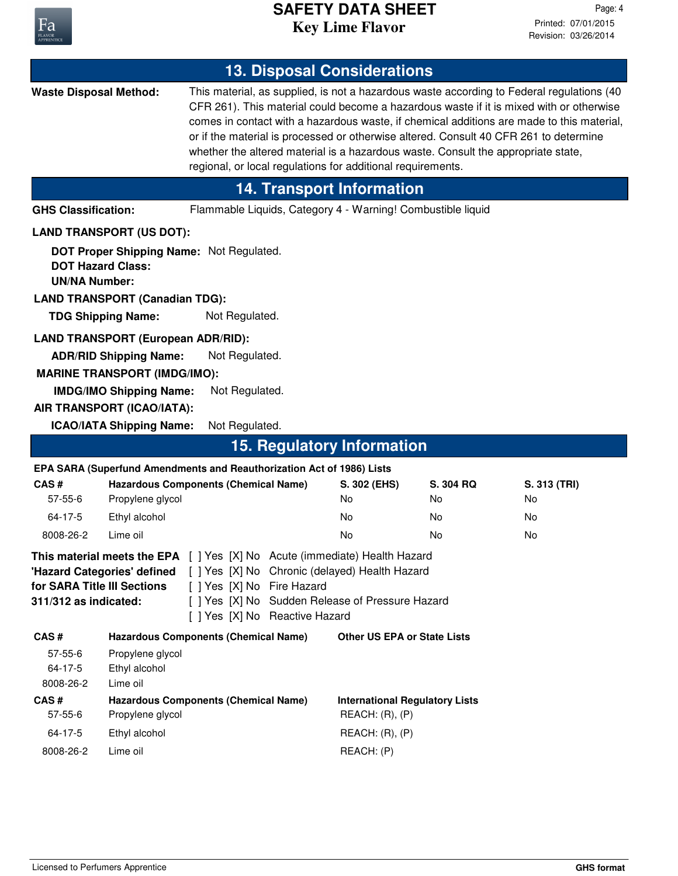

## **Key Lime Flavor SAFETY DATA SHEET**

| <b>13. Disposal Considerations</b>                                                                                                                                                                                                                                                                                                          |                                                                                                                        |                                                                                                                                                                                                                                                                                                                                                                                                                                                                                                                                |  |                                                             |                             |                                |
|---------------------------------------------------------------------------------------------------------------------------------------------------------------------------------------------------------------------------------------------------------------------------------------------------------------------------------------------|------------------------------------------------------------------------------------------------------------------------|--------------------------------------------------------------------------------------------------------------------------------------------------------------------------------------------------------------------------------------------------------------------------------------------------------------------------------------------------------------------------------------------------------------------------------------------------------------------------------------------------------------------------------|--|-------------------------------------------------------------|-----------------------------|--------------------------------|
| <b>Waste Disposal Method:</b>                                                                                                                                                                                                                                                                                                               |                                                                                                                        | This material, as supplied, is not a hazardous waste according to Federal regulations (40<br>CFR 261). This material could become a hazardous waste if it is mixed with or otherwise<br>comes in contact with a hazardous waste, if chemical additions are made to this material,<br>or if the material is processed or otherwise altered. Consult 40 CFR 261 to determine<br>whether the altered material is a hazardous waste. Consult the appropriate state,<br>regional, or local regulations for additional requirements. |  |                                                             |                             |                                |
|                                                                                                                                                                                                                                                                                                                                             |                                                                                                                        |                                                                                                                                                                                                                                                                                                                                                                                                                                                                                                                                |  | <b>14. Transport Information</b>                            |                             |                                |
| <b>GHS Classification:</b>                                                                                                                                                                                                                                                                                                                  |                                                                                                                        |                                                                                                                                                                                                                                                                                                                                                                                                                                                                                                                                |  | Flammable Liquids, Category 4 - Warning! Combustible liquid |                             |                                |
|                                                                                                                                                                                                                                                                                                                                             | <b>LAND TRANSPORT (US DOT):</b>                                                                                        |                                                                                                                                                                                                                                                                                                                                                                                                                                                                                                                                |  |                                                             |                             |                                |
| <b>DOT Hazard Class:</b><br><b>UN/NA Number:</b>                                                                                                                                                                                                                                                                                            | DOT Proper Shipping Name: Not Regulated.<br><b>LAND TRANSPORT (Canadian TDG):</b><br><b>TDG Shipping Name:</b>         | Not Regulated.                                                                                                                                                                                                                                                                                                                                                                                                                                                                                                                 |  |                                                             |                             |                                |
| <b>LAND TRANSPORT (European ADR/RID):</b><br>Not Regulated.<br><b>ADR/RID Shipping Name:</b><br><b>MARINE TRANSPORT (IMDG/IMO):</b><br><b>IMDG/IMO Shipping Name:</b><br>Not Regulated.<br>AIR TRANSPORT (ICAO/IATA):                                                                                                                       |                                                                                                                        |                                                                                                                                                                                                                                                                                                                                                                                                                                                                                                                                |  |                                                             |                             |                                |
|                                                                                                                                                                                                                                                                                                                                             | <b>ICAO/IATA Shipping Name:</b>                                                                                        | Not Regulated.                                                                                                                                                                                                                                                                                                                                                                                                                                                                                                                 |  |                                                             |                             |                                |
| <b>15. Regulatory Information</b>                                                                                                                                                                                                                                                                                                           |                                                                                                                        |                                                                                                                                                                                                                                                                                                                                                                                                                                                                                                                                |  |                                                             |                             |                                |
| CAS#<br>$57 - 55 - 6$<br>64-17-5<br>8008-26-2                                                                                                                                                                                                                                                                                               | EPA SARA (Superfund Amendments and Reauthorization Act of 1986) Lists<br>Propylene glycol<br>Ethyl alcohol<br>Lime oil | <b>Hazardous Components (Chemical Name)</b>                                                                                                                                                                                                                                                                                                                                                                                                                                                                                    |  | S. 302 (EHS)<br>No<br>No<br>No                              | S. 304 RQ<br>No<br>No<br>No | S. 313 (TRI)<br>No<br>No<br>No |
| <b>This material meets the EPA</b> [ ] Yes [X] No Acute (immediate) Health Hazard<br>'Hazard Categories' defined [ ] Yes [X] No Chronic (delayed) Health Hazard<br>for SARA Title III Sections<br>[ ] Yes [X] No Fire Hazard<br>311/312 as indicated:<br>[ ] Yes [X] No Sudden Release of Pressure Hazard<br>[ ] Yes [X] No Reactive Hazard |                                                                                                                        |                                                                                                                                                                                                                                                                                                                                                                                                                                                                                                                                |  |                                                             |                             |                                |
| CAS#<br>$57 - 55 - 6$<br>64-17-5<br>8008-26-2                                                                                                                                                                                                                                                                                               | Propylene glycol<br>Ethyl alcohol<br>Lime oil                                                                          | <b>Hazardous Components (Chemical Name)</b>                                                                                                                                                                                                                                                                                                                                                                                                                                                                                    |  | <b>Other US EPA or State Lists</b>                          |                             |                                |
| CAS#<br>$57 - 55 - 6$                                                                                                                                                                                                                                                                                                                       | Propylene glycol                                                                                                       | <b>Hazardous Components (Chemical Name)</b>                                                                                                                                                                                                                                                                                                                                                                                                                                                                                    |  | <b>International Regulatory Lists</b><br>REACH: (R), (P)    |                             |                                |
| 64-17-5                                                                                                                                                                                                                                                                                                                                     | Ethyl alcohol                                                                                                          |                                                                                                                                                                                                                                                                                                                                                                                                                                                                                                                                |  | REACH: (R), (P)                                             |                             |                                |
| 8008-26-2                                                                                                                                                                                                                                                                                                                                   | Lime oil                                                                                                               |                                                                                                                                                                                                                                                                                                                                                                                                                                                                                                                                |  | REACH: (P)                                                  |                             |                                |